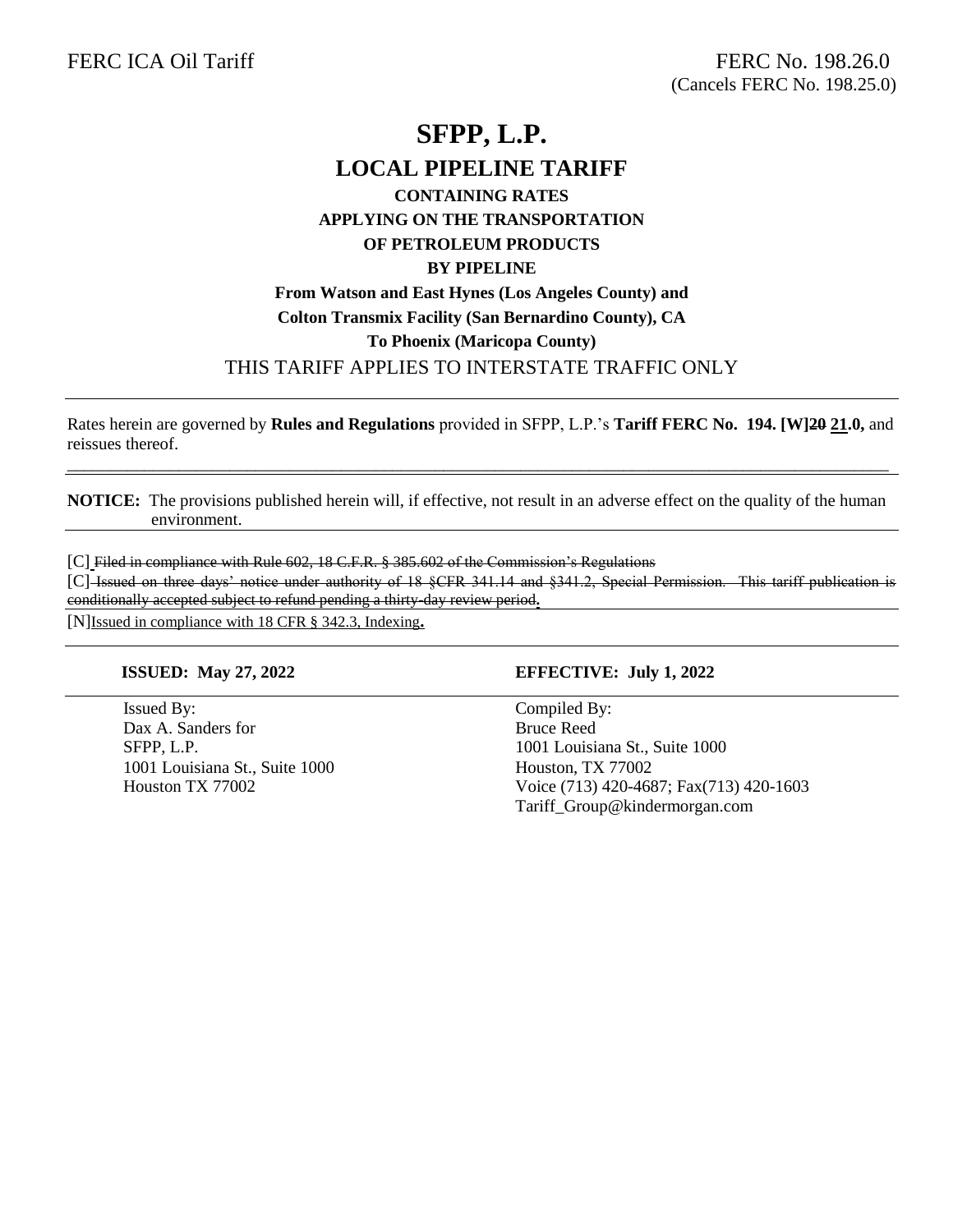# **SFPP, L.P. LOCAL PIPELINE TARIFF CONTAINING RATES APPLYING ON THE TRANSPORTATION OF PETROLEUM PRODUCTS BY PIPELINE From Watson and East Hynes (Los Angeles County) and Colton Transmix Facility (San Bernardino County), CA To Phoenix (Maricopa County)**  THIS TARIFF APPLIES TO INTERSTATE TRAFFIC ONLY

Rates herein are governed by **Rules and Regulations** provided in SFPP, L.P.'s **Tariff FERC No. 194. [W]20 21.0,** and reissues thereof.

**NOTICE:** The provisions published herein will, if effective, not result in an adverse effect on the quality of the human environment.

\_\_\_\_\_\_\_\_\_\_\_\_\_\_\_\_\_\_\_\_\_\_\_\_\_\_\_\_\_\_\_\_\_\_\_\_\_\_\_\_\_\_\_\_\_\_\_\_\_\_\_\_\_\_\_\_\_\_\_\_\_\_\_\_\_\_\_\_\_\_\_\_\_\_\_\_\_\_\_\_\_\_\_\_\_\_\_\_\_\_\_\_\_\_\_\_

[C] Filed in compliance with Rule 602, 18 C.F.R. § 385.602 of the Commission's Regulations

[C] Issued on three days' notice under authority of 18 §CFR 341.14 and §341.2, Special Permission. This tariff publication is conditionally accepted subject to refund pending a thirty-day review period**.**

[N]Issued in compliance with 18 CFR § 342.3, Indexing**.**

Issued By: Compiled By: Dax A. Sanders for Bruce Reed SFPP, L.P. 1001 Louisiana St., Suite 1000 1001 Louisiana St., Suite 1000 Houston, TX 77002

#### **ISSUED: May 27, 2022 EFFECTIVE: July 1, 2022**

Houston TX 77002 Voice (713) 420-4687; Fax(713) 420-1603 Tariff\_Group@kindermorgan.com